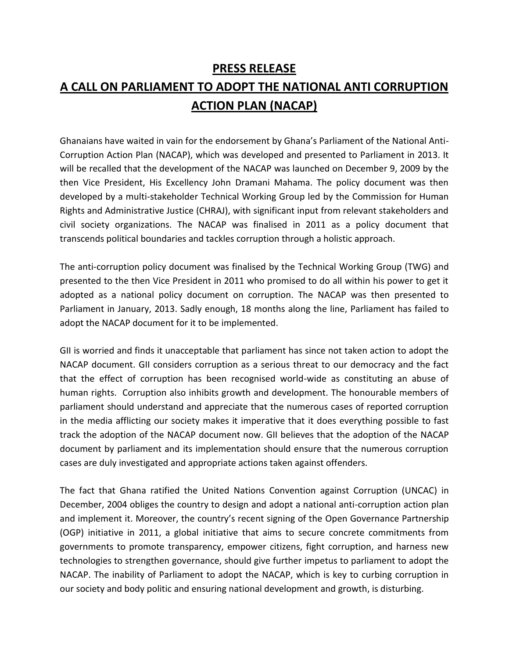# **PRESS RELEASE A CALL ON PARLIAMENT TO ADOPT THE NATIONAL ANTI CORRUPTION ACTION PLAN (NACAP)**

Ghanaians have waited in vain for the endorsement by Ghana's Parliament of the National Anti-Corruption Action Plan (NACAP), which was developed and presented to Parliament in 2013. It will be recalled that the development of the NACAP was launched on December 9, 2009 by the then Vice President, His Excellency John Dramani Mahama. The policy document was then developed by a multi-stakeholder Technical Working Group led by the Commission for Human Rights and Administrative Justice (CHRAJ), with significant input from relevant stakeholders and civil society organizations. The NACAP was finalised in 2011 as a policy document that transcends political boundaries and tackles corruption through a holistic approach.

The anti-corruption policy document was finalised by the Technical Working Group (TWG) and presented to the then Vice President in 2011 who promised to do all within his power to get it adopted as a national policy document on corruption. The NACAP was then presented to Parliament in January, 2013. Sadly enough, 18 months along the line, Parliament has failed to adopt the NACAP document for it to be implemented.

GII is worried and finds it unacceptable that parliament has since not taken action to adopt the NACAP document. GII considers corruption as a serious threat to our democracy and the fact that the effect of corruption has been recognised world-wide as constituting an abuse of human rights. Corruption also inhibits growth and development. The honourable members of parliament should understand and appreciate that the numerous cases of reported corruption in the media afflicting our society makes it imperative that it does everything possible to fast track the adoption of the NACAP document now. GII believes that the adoption of the NACAP document by parliament and its implementation should ensure that the numerous corruption cases are duly investigated and appropriate actions taken against offenders.

The fact that Ghana ratified the United Nations Convention against Corruption (UNCAC) in December, 2004 obliges the country to design and adopt a national anti-corruption action plan and implement it. Moreover, the country's recent signing of the Open Governance Partnership (OGP) initiative in 2011, a global initiative that aims to secure concrete commitments from governments to promote transparency, empower citizens, fight corruption, and harness new technologies to strengthen governance, should give further impetus to parliament to adopt the NACAP. The inability of Parliament to adopt the NACAP, which is key to curbing corruption in our society and body politic and ensuring national development and growth, is disturbing.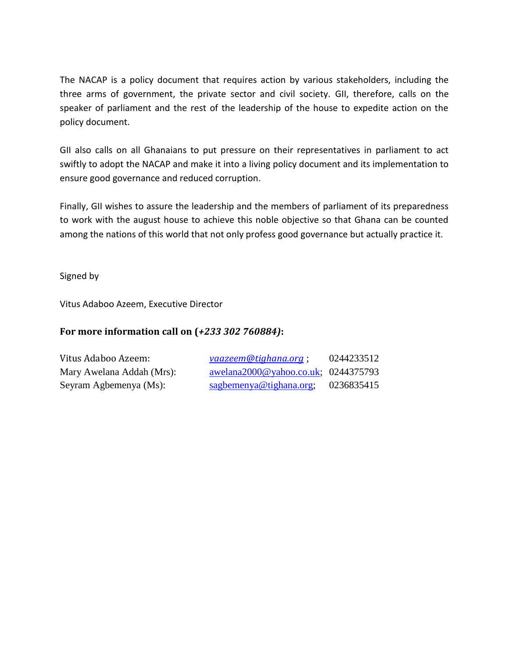The NACAP is a policy document that requires action by various stakeholders, including the three arms of government, the private sector and civil society. GII, therefore, calls on the speaker of parliament and the rest of the leadership of the house to expedite action on the policy document.

GII also calls on all Ghanaians to put pressure on their representatives in parliament to act swiftly to adopt the NACAP and make it into a living policy document and its implementation to ensure good governance and reduced corruption.

Finally, GII wishes to assure the leadership and the members of parliament of its preparedness to work with the august house to achieve this noble objective so that Ghana can be counted among the nations of this world that not only profess good governance but actually practice it.

Signed by

Vitus Adaboo Azeem, Executive Director

### **For more information call on (***+233 302 760884)***:**

| Vitus Adaboo Azeem:       | <i>vaazeem@tighana.org</i> ;        | 0244233512 |
|---------------------------|-------------------------------------|------------|
| Mary Awelana Addah (Mrs): | awelana2000@yahoo.co.uk; 0244375793 |            |
| Seyram Agbemenya (Ms):    | sagbemenya@tighana.org;             | 0236835415 |